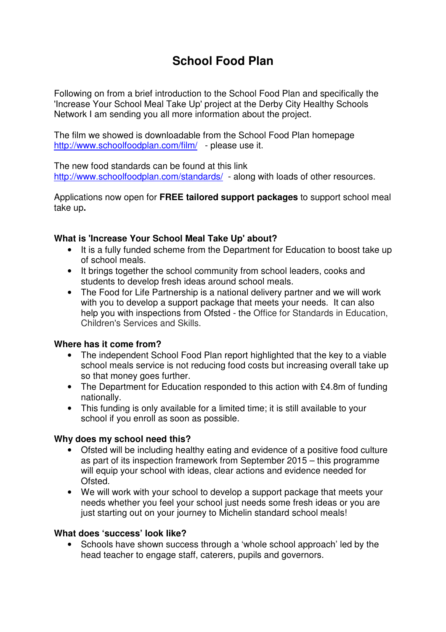# **School Food Plan**

Following on from a brief introduction to the School Food Plan and specifically the 'Increase Your School Meal Take Up' project at the Derby City Healthy Schools Network I am sending you all more information about the project.

The film we showed is downloadable from the School Food Plan homepage http://www.schoolfoodplan.com/film/ - please use it.

The new food standards can be found at this link http://www.schoolfoodplan.com/standards/ - along with loads of other resources.

Applications now open for **FREE tailored support packages** to support school meal take up**.** 

#### **What is 'Increase Your School Meal Take Up' about?**

- It is a fully funded scheme from the Department for Education to boost take up of school meals.
- It brings together the school community from school leaders, cooks and students to develop fresh ideas around school meals.
- The Food for Life Partnership is a national delivery partner and we will work with you to develop a support package that meets your needs. It can also help you with inspections from Ofsted - the Office for Standards in Education, Children's Services and Skills.

# **Where has it come from?**

- The independent School Food Plan report highlighted that the key to a viable school meals service is not reducing food costs but increasing overall take up so that money goes further.
- The Department for Education responded to this action with £4.8m of funding nationally.
- This funding is only available for a limited time; it is still available to your school if you enroll as soon as possible.

# **Why does my school need this?**

- Ofsted will be including healthy eating and evidence of a positive food culture as part of its inspection framework from September 2015 – this programme will equip your school with ideas, clear actions and evidence needed for Ofsted.
- We will work with your school to develop a support package that meets your needs whether you feel your school just needs some fresh ideas or you are just starting out on your journey to Michelin standard school meals!

#### **What does 'success' look like?**

• Schools have shown success through a 'whole school approach' led by the head teacher to engage staff, caterers, pupils and governors.